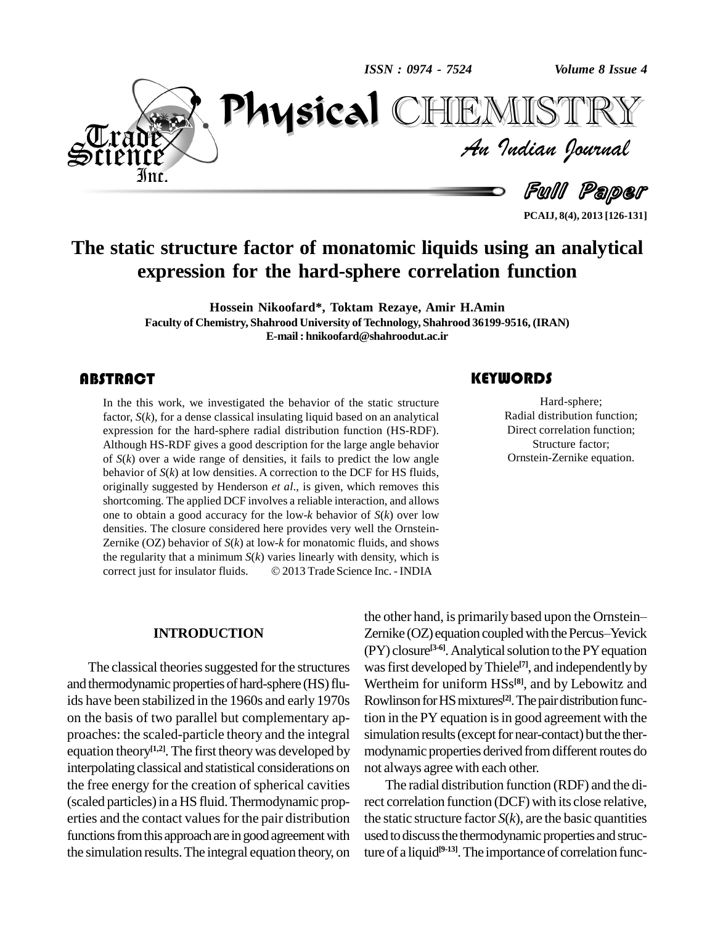*ISSN : 0974 - 7524*

*Volume 8 Issue 4*



*Volume 8 Issue 4*<br>ISTRY<br>*Indian Iournal* PhysicalTEMISTRY

Full Paper

**PCAIJ, 8(4), 2013 [126-131]**

# **The static structure factor of monatomic liquids using an analytical expression for the hard-sphere correlation function**

**Hossein Nikoofard\*, Toktam Rezaye, Amir H.Amin Faculty of Chemistry, Shahrood University ofTechnology, Shahrood 36199-9516, (IRAN) E-mail: [hnikoofard@shahroodut.ac.ir](mailto:hnikoofard@shahroodut.ac.ir)**

In the this work, we in factor,  $S(k)$ , for a dense  $\alpha$  expression for the hard-In the this work, we investigated the behavior of the static structure factor, *S*(*k*), for a dense classical insulating liquid based on an analytical expression for the hard-sphere radial distribution function (HS-RDF). Although HS-RDF gives a good description for the large angle behavior of *S*(*k*) over a wide range of densities, it fails to predict the low angle behavior of *S*(*k*) at low densities. A correction to the DCF for HS fluids, originally suggested by Henderson *et al*., is given, which removes this shortcoming. The applied DCF involves a reliable interaction, and allows one to obtain a good accuracy for the low-*k* behavior of *S*(*k*) over low densities. The closure considered here provides very well the Ornstein- Zernike (OZ) behavior of *S*(*k*) at low-*k* for monatomic fluids, and shows<br>the regularity that a minimum *S*(*k*) varies linearly with density, which is<br>correct just for insulator fluids.  $\circ$  2013 Trade Science Inc. the regularity that a minimum  $S(k)$  varies linearly with density, which is

### **KEYWORDS**

Hard-sphere;<br>Radial distribution function;<br>Direct correlation function; Hard-sphere; Radial distribution function; Structure factor; Ornstein-Zernike equation.

### **INTRODUCTION**

The classical theories suggested for the structures and thermodynamic properties of hard-sphere (HS) fluids have been stabilized in the 1960s and early 1970s on the basis of two parallel but complementary ap proaches: the scaled-particle theory and the integral equation theory<sup>[1,2]</sup>. The first theory was developed by modyn interpolating classical and statistical considerations on the free energy for the creation of spherical cavities (scaled particles)in a HS fluid.Thermodynamic prop erties and the contact values for the pair distribution functions from this approach are in good agreement with the simulation results.The integral equation theory, on

 $\circ$  2013 Trade Science Inc. - INDIA<br>the other hand, is primarily based upon the Ornstein— Zernike (OZ) equation coupled with the Percus–Yevick (PY) closure<sup>[3-6]</sup>. Analytical solution to the PY equation was first developed by Thiele<sup>[7]</sup>, and independently by Wertheim for uniform HSs **[8]**, and by Lebowitz and Rowlinson for HS mixtures<sup>[2]</sup>. The pair distribution function in the PY equation is in good agreement with the simulation results (except for near-contact) but the thermodynamic properties derived from different routes do not always agree with each other.

> The radial distribution function (RDF) and the direct correlation function (DCF) with its close relative, the static structure factor  $S(k)$ , are the basic quantities used to discuss the thermodynamic properties and structure of a liquid **[9-13]**.The importance of correlation func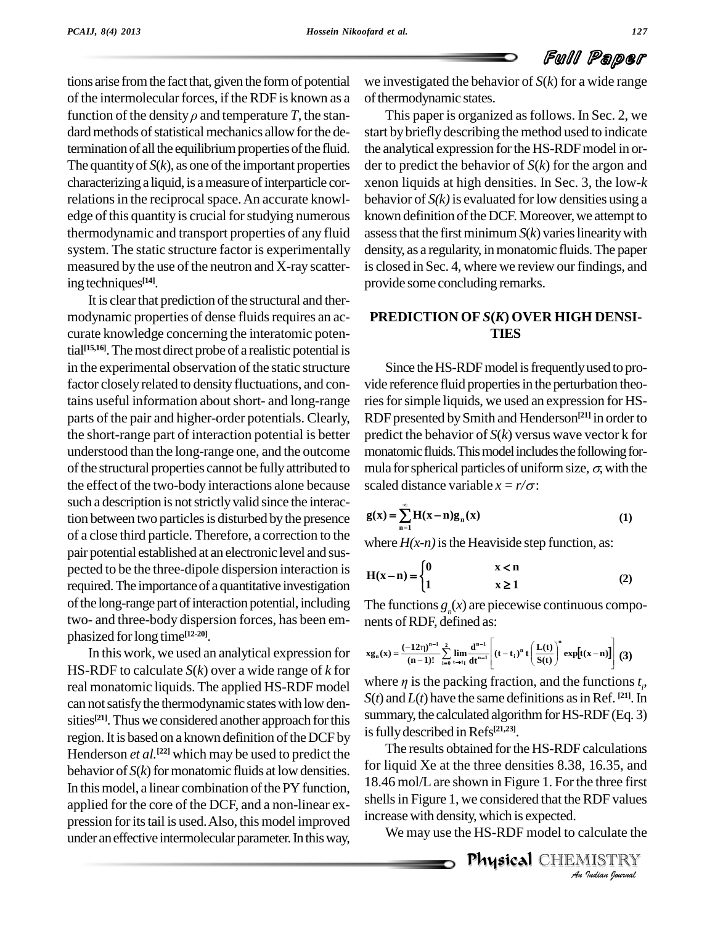tions arise from the fact that, given the form of potential of the intermolecular forces, if the RDF is known as a function of the density  $\rho$  and temperature *T*, the standard methods of statistical mechanics allow for the determination of all the equilibrium properties of the fluid. The quantity of  $S(k)$ , as one of the important properties characterizing a liquid, is a measure of interparticle correlations in the reciprocal space. An accurate knowledge of this quantity is crucial for studying numerous thermodynamic and transport properties of any fluid system. The static structure factor is experimentally measured by the use of the neutron and X-ray scattering techniques<sup>[14]</sup>.

It is clear that prediction of the structural and thermodynamic properties of dense fluids requires an accurate knowledge concerning the interatomic potential **[15,16]**.Themost direct probe of a realistic potential is in the experimental observation of the static structure factor closely related to density fluctuations, and contains useful information aboutshort- and long-range parts of the pair and higher-order potentials. Clearly, the short-range part of interaction potential is better understood than the long-range one, and the outcome of the structural properties cannot be fully attributed to the effect of the two-body interactions alone because such a description is not strictly valid since the interaction between two particles is disturbed by the presence of a close third particle. Therefore, a correction to the pair potential established at an electronic level and sus pected to be the three-dipole dispersion interaction is required. The importance of a quantitative investigation of the long-range part of interaction potential, including two- and three-body dispersion forces, has been em phasized forlong time **[12-20]**.

In this work, we used an analytical expression for HS-RDF to calculate *S*(*k*) over a wide range of *k* for real monatomic liquids. The applied HS-RDF model can not satisfy the thermodynamic states with low densities<sup>[21]</sup>. Thus we considered another approach for this  $\frac{54}{100}$ region. It is based on a known definition of the DCF by Henderson *et al.*<sup>[22]</sup> which may be used to predict the behavior of  $S(k)$  for monatomic fluids at low densities. In this model, a linear combination of the PY function, applied for the core of the DCF, and a non-linear ex pression for its tail is used. Also, this model improved under an effective intermolecular parameter. In this way,

we investigated the behavior of *S*(*k*) for a wide range of thermodynamic states.

This paper is organized as follows. In Sec. 2, we start bybriefly describing the method used to indicate the analytical expression for the HS-RDF model in order to predict the behavior of *S*(*k*) for the argon and xenon liquids at high densities. In Sec. 3, the low-*k* behavior of  $S(k)$  is evaluated for low densities using a known definition of the DCF. Moreover, we attempt to assess that the first minimum  $S(k)$  varies linearity with density, as a regularity, in monatomic fluids. The paper is closed in Sec. 4, where we review our findings, and provide some concluding remarks.

## **PREDICTION OF** *S***(***K***) OVER HIGH DENSI- TIES**

Since the HS-RDF model is frequently used to provide reference fluid properties in the perturbation theories for simple liquids, we used an expression for HS-RDF presented bySmith and Henderson **[21]** in orderto predict the behavior of *S*(*k*) versus wave vector k for monatomic fluids. This model includes the following formula for spherical particles of uniform size,  $\sigma$ , with the

scaled distance variable 
$$
x = r/\sigma
$$
:  
\n
$$
g(x) = \sum_{n=1}^{\infty} H(x-n)g_n(x)
$$
\n(1)

where  $H(x-n)$  is the Heaviside step function, as:

where 
$$
H(x-n)
$$
 is the Heaviside step function, as:  
\n
$$
H(x-n) = \begin{cases} 0 & x < n \\ 1 & x \ge 1 \end{cases}
$$
 (2)

The functions  $g(x)$  are piecewise continuous compoof RDF, defined as<br> $(-12n)^{n-1}$   $\frac{2}{n}$   $\frac{d^{n-1}}{n}$ 

$$
xg_n(x) = \frac{(-12\eta)^{n-1}}{(n-1)!} \sum_{i=0}^{2} \lim_{t \to t_i} \frac{d^{n-1}}{dt^{n-1}} \left[ (t - t_i)^n t \left( \frac{L(t)}{S(t)} \right)^n \exp[t(x-n)] \right] (3)
$$

where  $\eta$  is the packing fraction, and the functions  $t<sub>s</sub>$ , where  $\eta$  is the packing fraction, and the functions  $t_{\rho}$ ,  $S(t)$  and  $L(t)$  have the same definitions as in Ref. <sup>[21]</sup>. In summary, the calculated algorithm for HS-RDF (Eq. 3) isfullydescribed inRefs **[21,23]**.

18.46 mol/L are shown in Figure 1. For the three first *Indee first*<br>*INDF values<br>AISTRY*<br>*Indian fournal* The results obtained forthe HS-RDF calculations for liquid Xe at the three densities 8.38, 16.35, and shells in Figure 1, we considered that the RDF values increase with density, which is expected.

We may use the HS-RDF model to calculate the

Physical CHEMISTRY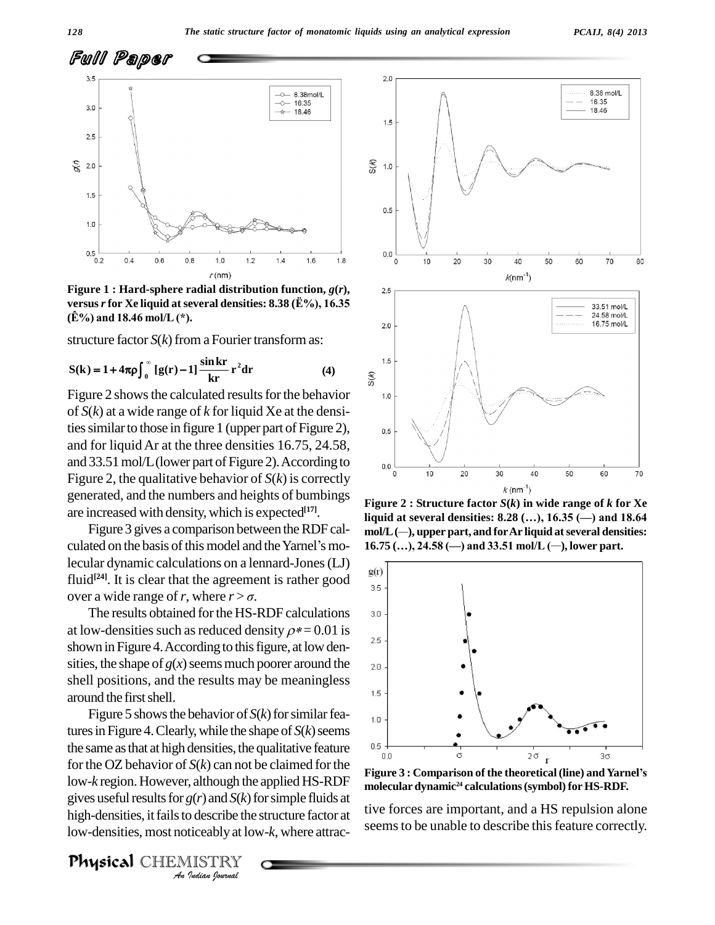

**Figure 1 : Hard-sphere radial distribution function,** *g***(***r***), versus***r***for Xe liquid at several densities: 8.38 (À%), 16.35 Figure 1 : Hard-sphere radial dis<br>versus** *r* **for Xe liquid at several de<br>(Ê%) and 18.46 mol/L (\*).** 

structure factor  $S(k)$  from a Fourier transform as:

structure factor 
$$
S(k)
$$
 from a Fourier transform as:  
\n
$$
S(k) = 1 + 4\pi \rho \int_0^\infty [g(r) - 1] \frac{\sin kr}{kr} r^2 dr
$$
\n(4)

Figure 2 shows the calculated results for the behavior  $\frac{1.0}{1.0}$ of *S*(*k*) at a wide range of *k* for liquid Xe at the densities similar to those in figure 1 (upper part of Figure 2), and for liquidAr at the three densities 16.75, 24.58, and 33.51 mol/L (lower part of Figure 2). According to  $\frac{1}{2}$ Figure 2, the qualitative behavior of  $S(k)$  is correctly generated, and the numbers and heights of bumbings are increased with density, which is expected **[17]**.

culated on the basis of this model and the Yarnel's molecular dynamic calculations on a lennard-Jones (LJ)  $g(r)$ fluid<sup>[24]</sup>. It is clear that the agreement is rather good  $\frac{S(t)}{2\pi}$ lecular dynamic calculations on a lennard-J<br>fluid<sup>[24]</sup>. It is clear that the agreement is rat<br>over a wide range of *r*, where  $r > \sigma$ .

The results obtained for the HS-RDF calculations 3.0 at low-densities such as reduced density  $\rho^* = 0.01$  is shown in Figure 4. According to this figure, at low densities, the shape of  $g(x)$  seems much poorer around the  $\qquad_2$ <sup>0</sup> shell positions, and the results may be meaningless<br>example first shall around the first shell.

low-*k* region. However, although the applied HS-RDF rigure 3 *I*; although the<br>*Ind S(k)* is describe the<br>*IISTRY*<br>*IISTRY* Figure 5 shows the behavior of  $S(k)$  for similar features in Figure 4. Clearly, while the shape of  $S(k)$  seems the same as that at high densities, the qualitative feature  $\frac{0.5 + 1}{0.0}$ for the OZ behavior of  $S(k)$  can not be claimed for the gives useful results for  $g(r)$  and  $S(k)$  for simple fluids at high-densities, it fails to describe the structure factor at low-densities, most noticeably at low-*k*, where attrac-

Physical CHEMISTRY



Figure 3 gives a comparison between the RDF cal-<br>Figure 3 gives a comparison between the RDF cal-<br>mold (-), upper part, and for Ar liquid at several densities: **Figure 2 : Structure factor** *S***(***k***) in wide range of** *k* **for Xe liquid at several densities: 8.28 (Ö), 16.35 (ó) and 18.64 mol/L( \_\_\_), upper part, and forAr liquid atseveral densities: 11quid at several densities: 8.28 (...), 16.35 (—) and** *I***L (—), upper part, and for Ar liquid at several<br>16.75 (...), 24.58 (—) and 33.51 mol/L (—), lower <sub>I</sub>**  $16.75$  (...),  $24.58$  (-) and  $33.51$  mol/L (-), lower part.



**molecular dynamic <sup>24</sup> calculations(symbol) for HS-RDF.**

tive forces are important, and a HS repulsion alone seems to be unable to describe this feature correctly.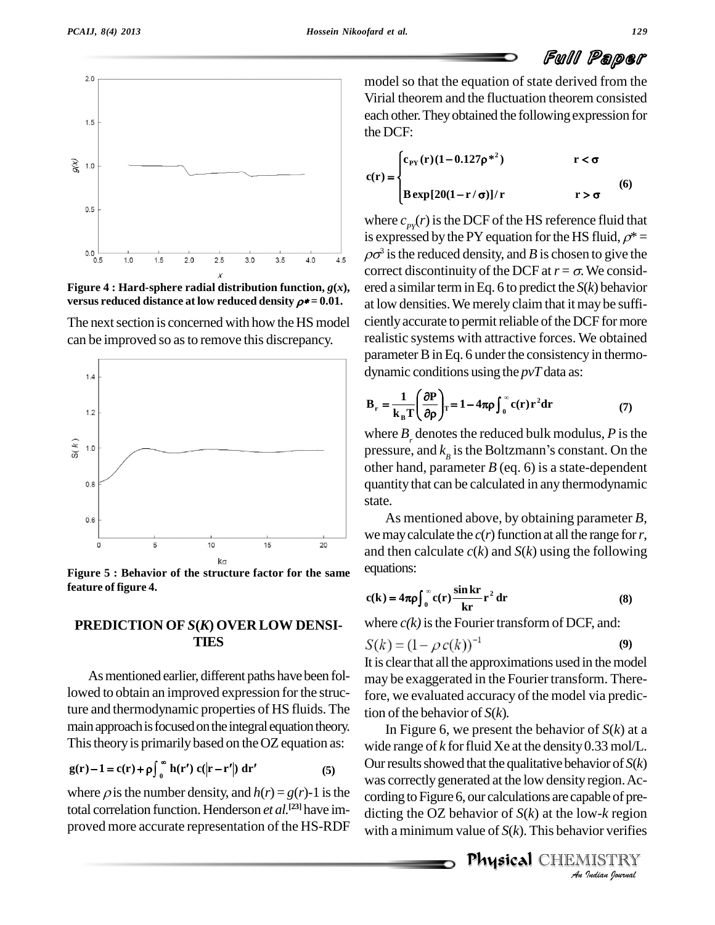



**Figure** 4 **: Hard-sphere radial distribution function,**  $g(x)$ , **versus reduced distance** at low **reduced density**  $\rho^* = 0.01$ .

The next section is concerned with how the HS model can be improved so asto remove this discrepancy.



**Figure 5 : Behavior of the structure factor for the same feature of figure 4.**

### **PREDICTION OF** *S***(***K***) OVER LOW DENSI- TIES**

As mentioned earlier, different paths have been followed to obtain an improved expression for the structure and thermodynamic properties of HS fluids. The main approach is focused on the integral equation theory. This theory is primarily based on the OZ equation as:  $w_i$ a approach is focused on the integral ex-<br>theory is primarily based on the OZ<br> $-1 = c(r) + \rho \int_0^{\infty} h(r') c(|r-r'|) dr'$ 

$$
g(r) - 1 = c(r) + \rho \int_0^\infty h(r') c(|r - r'|) dr'
$$
 (5)

where  $\rho$  is the number density, and  $h(r) = g(r)$ -1 is the total correlation function. Henderson *et al.* **[23]** have im proved more accurate representation of the HS-RDF

model so that the equation of state derived from the Virial theorem and the fluctuation theorem consisted each other. They obtained the following expression for the DCF:  $\mathbf{r}$  $\rho^{*2}$   $r < \sigma$ 

$$
c(r) = \begin{cases} c_{\text{PY}}(r)(1 - 0.127\rho^{*2}) & r < \sigma \\ B \exp[20(1 - r/\sigma)]/r & r > \sigma \end{cases}
$$
(6)

where  $c_{\text{pv}}(r)$  is the DCF of the HS reference fluid that is expressed by the PY equation for the HS fluid,  $\rho^*$  =  $\rho\sigma^3$  is the reduced density, and *B* is chosen to give the correct discontinuity of the DCF at  $r = \sigma$ . We considered a similar term in Eq. 6 to predict the  $S(k)$  behavior at low densities.We merely claim that itmay be suffi ciently accurate to permit reliable of the DCF for more realistic systems with attractive forces. We obtained parameter B in Eq. 6 under the consistency in thermodynamic conditions using the *pvT* data as:  $\overline{a}$ amic conditions

dynamic conditions using the 
$$
pvT
$$
 data as:  
\n
$$
\mathbf{B}_{r} = \frac{1}{\mathbf{k}_{B}T} \left( \frac{\partial \mathbf{P}}{\partial \rho} \right)_{T} = 1 - 4\pi \rho \int_{0}^{\infty} c(\mathbf{r}) \mathbf{r}^{2} d\mathbf{r}
$$
\n(7)

where  $B_r$  denotes the reduced bulk modulus,  $P$  is the pressure, and  $k<sub>n</sub>$  is the Boltzmann's constant. On the  $\sum_{i=1}^{n}$ <br>is the reduced bulk modulus, P is the<br>is the Boltzmann's constant. On the other hand, parameter *B* (eq. 6) is a state-dependent quantity thatcan be calculated in any thermodynamic state.<br>As mentioned above, by obtaining parameter *B*,

we may calculate the  $c(r)$  function at all the range for r, and then calculate *c*(*k*) and *S*(*k*) using the following<br>equations:<br> $c(k) = 4\pi \rho \int_0^\infty c(r) \frac{\sin kr}{kr} r^2 dr$  (8) equations:

$$
c(k) = 4\pi \rho \int_0^\infty c(r) \frac{\sin kr}{kr} r^2 dr
$$
 (8)

where  $c(k)$  is the Fourier transform of DCF, and:

$$
S(k) = (1 - \rho c(k))^{-1}
$$
 (9)

It is clear that all the approximations used in the model may be exaggerated in the Fourier transform. Therefore, we evaluated accuracy of the model via prediction of the behavior of  $S(k)$ .

*An*was correctlygenerated at the low density region.Ac region. Ac-<br>
pable of pre-<br> *I* ISTRY<br>
IISTRY In Figure 6, we present the behavior of *S*(*k*) at a wide range of  $k$  for fluid Xe at the density 0.33 mol/L. Our results showed that the qualitative behavior of  $S(k)$ cording to Figure 6, our calculations are capable of predicting the OZ behavior of *S*(*k*) at the low-*k* region with a minimum value of*S*(*k*). This behavior verifies

Physical CHEMISTRY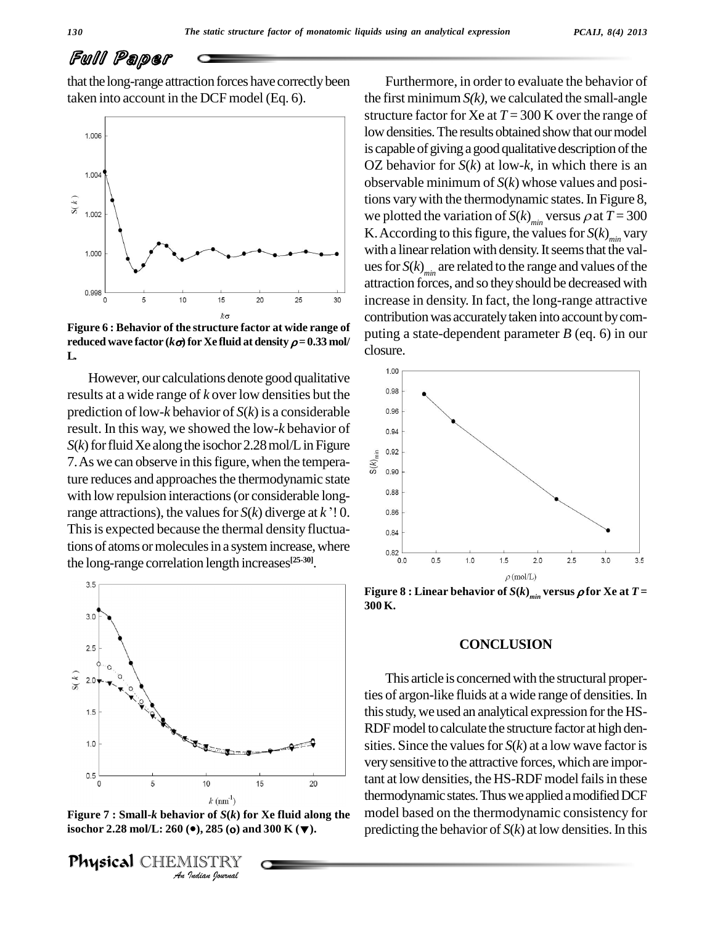# Full Paper

that the long-range attraction forces have correctly been taken into account in the DCF model (Eq. 6).



**Figure 6 : Behavior of the structure factor at wide range of reduced** wave factor  $(k\sigma)$  for Xe fluid at density  $\rho = 0.33$  mol/ **L.**

However, our calculations denote good qualitative  $\frac{1.00}{0.98}$ results at a wide range of *k* over low densities but the prediction of low-*k* behavior of *S*(*k*) is a considerable result. In this way, we showed the low-*k* behavior of *S*(*k*) for fluid Xe along the isochor 2.28 mol/L in Figure<br>7. As we can observe in this figure, when the tempera-<br> $\frac{1}{\frac{3}{6}}$ 7. As we can observe in this figure, when the temperature reduces and approaches the thermodynamic state<br>with low repulsion interactions (or considerable long-<br>range attractions), the values for *S*(*k*) diverge at *k* '! 0. with low repulsion interactions(or considerable long-This is expected because the thermal density fluctuations of atoms or molecules in a system increase, where  $_{0.82}$ the long-range correlation length increases **[25-30]**.



**Figure 7 : Small-***k* **behavior of** *S***(***k***) for Xe fluid along the i**s  $k$   $(\text{nm}^1)$ <br>**Figure 7 : Small-** $k$  **behavior of**  $S(k)$  **for Xe fluid along the isochor 2.28 mol/L: 260 (** $\bullet$ **), 285 (** $\bullet$ **) and 300 K (** $\blacktriangledown$ **).** 

Physical CHEMISTRY

Furthermore, in order to evaluate the behavior of the first minimum  $S(k)$ , we calculated the small-angle structure factor for Xe at  $T = 300$  K over the range of low densities. The results obtained show that our model is capable of giving a good qualitative description of the OZ behavior for *S*(*k*) at low-*k*, in which there is an observable minimum of *S*(*k*) whose values and positions varywith the thermodynamic states.In Figure 8, we plotted the variation of  $S(k)_{min}$  versus  $\rho$  at  $T = 300$ K. According to this figure, the values for  $S(k)_{min}$  vary with a linear relation with density. It seems that the values for  $S(k)_{min}$  are related to the range and values of the attraction forces, and so theyshould be decreased with increase in density. In fact, the long-range attractive contribution was accurately taken into account by computing a state-dependent parameter *B* (eq. 6) in our closure.



**Figure** 8 **:** Linear behavior of  $S(k)$  *min* versus  $\rho$  for Xe at  $T =$ **300 K.**

### **CONCLUSION**

This article is concerned with the structural properties of argon-like fluids at a wide range of densities.In this study, we used an analytical expression for the HS-RDF model to calculate the structure factor at high densities. Since the values for  $S(k)$  at a low wave factor is very sensitive to the attractive forces, which are important at low densities, the HS-RDF model fails in these thermodynamic states. Thus we applied a modified DCF model based on the thermodynamic consistency for predicting the behavior of  $S(k)$  at low densities. In this